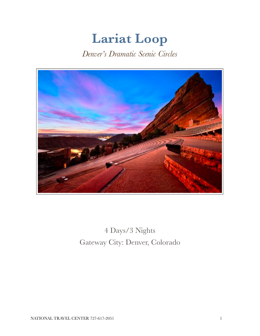# **Lariat Loop**

*Denver's Dramatic Scenic Circles* 



4 Days/3 Nights Gateway City: Denver, Colorado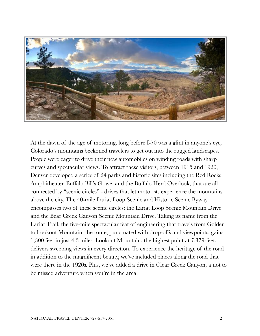

At the dawn of the age of motoring, long before I-70 was a glint in anyone's eye, Colorado's mountains beckoned travelers to get out into the rugged landscapes. People were eager to drive their new automobiles on winding roads with sharp curves and spectacular views. To attract these visitors, between 1915 and 1920, Denver developed a series of 24 parks and historic sites including the Red Rocks Amphitheater, Buffalo Bill's Grave, and the Buffalo Herd Overlook, that are all connected by "scenic circles" - drives that let motorists experience the mountains above the city. The 40-mile Lariat Loop Scenic and Historic Scenic Byway encompasses two of these scenic circles: the Lariat Loop Scenic Mountain Drive and the Bear Creek Canyon Scenic Mountain Drive. Taking its name from the Lariat Trail, the five-mile spectacular feat of engineering that travels from Golden to Lookout Mountain, the route, punctuated with drop-offs and viewpoints, gains 1,300 feet in just 4.3 miles. Lookout Mountain, the highest point at 7,379-feet, delivers sweeping views in every direction. To experience the heritage of the road in addition to the magnificent beauty, we've included places along the road that were there in the 1920s. Plus, we've added a drive in Clear Creek Canyon, a not to be missed adventure when you're in the area.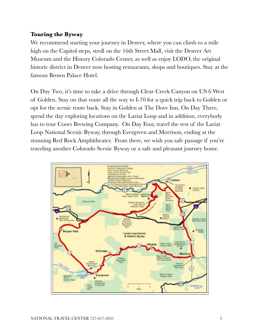# **Touring the Byway**

We recommend starting your journey in Denver, where you can climb to a mile high on the Capitol steps, stroll on the 16th Street Mall, visit the Denver Art Museum and the History Colorado Center, as well as enjoy LODO, the original historic district in Denver now hosting restaurants, shops and boutiques. Stay at the famous Brown Palace Hotel.

On Day Two, it's time to take a drive through Clear Creek Canyon on US 6 West of Golden. Stay on that route all the way to I-70 for a quick trip back to Golden or opt for the scenic route back. Stay in Golden at The Dove Inn. On Day Three, spend the day exploring locations on the Lariat Loop and in addition, everybody has to tour Coors Brewing Company. On Day Four, travel the rest of the Lariat Loop National Scenic Byway, through Evergreen and Morrison, ending at the stunning Red Rock Amphitheater. From there, we wish you safe passage if you're traveling another Colorado Scenic Byway or a safe and pleasant journey home.

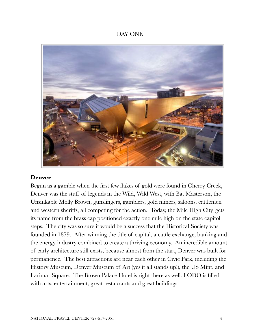## DAY ONE



#### **Denver**

Begun as a gamble when the first few flakes of gold were found in Cherry Creek, Denver was the stuff of legends in the Wild, Wild West, with Bat Masterson, the Unsinkable Molly Brown, gunslingers, gamblers, gold miners, saloons, cattlemen and western sheriffs, all competing for the action. Today, the Mile High City, gets its name from the brass cap positioned exactly one mile high on the state capitol steps. The city was so sure it would be a success that the Historical Society was founded in 1879. After winning the title of capital, a cattle exchange, banking and the energy industry combined to create a thriving economy. An incredible amount of early architecture still exists, because almost from the start, Denver was built for permanence. The best attractions are near each other in Civic Park, including the History Museum, Denver Museum of Art (yes it all stands up!), the US Mint, and Larimar Square. The Brown Palace Hotel is right there as well. LODO is filled with arts, entertainment, great restaurants and great buildings.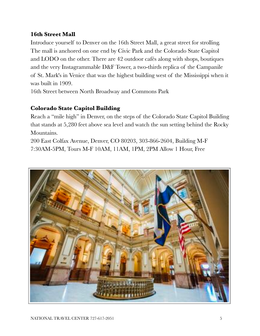# **16th Street Mall**

Introduce yourself to Denver on the 16th Street Mall, a great street for strolling. The mall is anchored on one end by Civic Park and the Colorado State Capitol and LODO on the other. There are 42 outdoor cafés along with shops, boutiques and the very Instagrammable D&F Tower, a two-thirds replica of the Campanile of St. Mark's in Venice that was the highest building west of the Mississippi when it was built in 1909.

16th Street between North Broadway and Commons Park

# **Colorado State Capitol Building**

Reach a "mile high" in Denver, on the steps of the Colorado State Capitol Building that stands at 5,280 feet above sea level and watch the sun setting behind the Rocky Mountains.

200 East Colfax Avenue, Denver, CO 80203, 303-866-2604, Building M-F 7:30AM-5PM, Tours M-F 10AM, 11AM, 1PM, 2PM Allow 1 Hour, Free

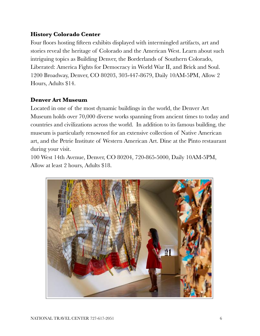# **History Colorado Center**

Four floors hosting fifteen exhibits displayed with intermingled artifacts, art and stories reveal the heritage of Colorado and the American West. Learn about such intriguing topics as Building Denver, the Borderlands of Southern Colorado, Liberated: America Fights for Democracy in World War II, and Brick and Soul. 1200 Broadway, Denver, CO 80203, 303-447-8679, Daily 10AM-5PM, Allow 2 Hours, Adults \$14.

# **Denver Art Museum**

Located in one of the most dynamic buildings in the world, the Denver Art Museum holds over 70,000 diverse works spanning from ancient times to today and countries and civilizations across the world. In addition to its famous building, the museum is particularly renowned for an extensive collection of Native American art, and the Petrie Institute of Western American Art. Dine at the Pinto restaurant during your visit.

100 West 14th Avenue, Denver, CO 80204, 720-865-5000, Daily 10AM-5PM, Allow at least 2 hours, Adults \$18.

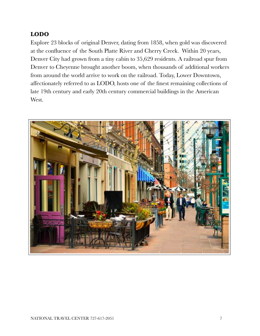# **LODO**

Explore 23 blocks of original Denver, dating from 1858, when gold was discovered at the confluence of the South Platte River and Cherry Creek. Within 20 years, Denver City had grown from a tiny cabin to 35,629 residents. A railroad spur from Denver to Cheyenne brought another boom, when thousands of additional workers from around the world arrive to work on the railroad. Today, Lower Downtown, affectionately referred to as LODO, hosts one of the finest remaining collections of late 19th century and early 20th century commercial buildings in the American West.

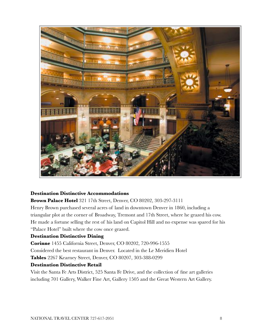

#### **Destination Distinctive Accommodations**

**Brown Palace Hotel** 321 17th Street, Denver, CO 80202, 303-297-3111 Henry Brown purchased several acres of land in downtown Denver in 1860, including a triangular plot at the corner of Broadway, Tremont and 17th Street, where he grazed his cow. He made a fortune selling the rest of his land on Capitol Hill and no expense was spared for his "Palace Hotel" built where the cow once grazed.

#### **Destination Distinctive Dining**

**Corinne** 1455 California Street, Denver, CO 80202, 720-996-1555 Considered the best restaurant in Denver. Located in the Le Meridien Hotel **Tables** 2267 Kearney Street, Denver, CO 80207, 303-388-0299

#### **Destination Distinctive Retail**

Visit the Santa Fe Arts District, 525 Santa Fe Drive, and the collection of fine art galleries including 701 Gallery, Walker Fine Art, Gallery 1505 and the Great Western Art Gallery.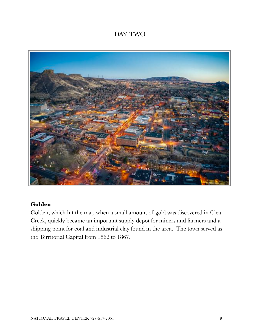# DAY TWO



# **Golden**

Golden, which hit the map when a small amount of gold was discovered in Clear Creek, quickly became an important supply depot for miners and farmers and a shipping point for coal and industrial clay found in the area. The town served as the Territorial Capital from 1862 to 1867.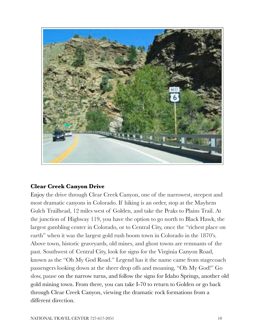

# **Clear Creek Canyon Drive**

Enjoy the drive through Clear Creek Canyon, one of the narrowest, steepest and most dramatic canyons in Colorado. If hiking is an order, stop at the Mayhem Gulch Trailhead, 12 miles west of Golden, and take the Peaks to Plains Trail. At the junction of Highway 119, you have the option to go north to Black Hawk, the largest gambling center in Colorado, or to Central City, once the "richest place on earth" when it was the largest gold rush boom town in Colorado in the 1870's. Above town, historic graveyards, old mines, and ghost towns are remnants of the past. Southwest of Central City, look for signs for the Virginia Canyon Road, known as the "Oh My God Road." Legend has it the name came from stagecoach passengers looking down at the sheer drop offs and moaning, "Oh My God!" Go slow, pause on the narrow turns, and follow the signs for Idaho Springs, another old gold mining town. From there, you can take I-70 to return to Golden or go back through Clear Creek Canyon, viewing the dramatic rock formations from a different direction.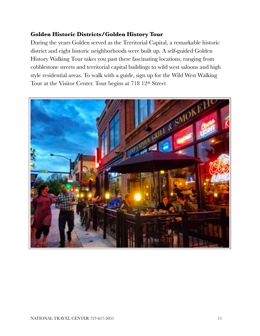# **Golden Historic Districts/Golden History Tour**

During the years Golden served as the Territorial Capital, a remarkable historic district and eight historic neighborhoods were built up. A self-guided Golden History Walking Tour takes you past these fascinating locations, ranging from cobblestone streets and territorial capital buildings to wild west saloons and high style residential areas. To walk with a guide, sign up for the Wild West Walking Tour at the Visitor Center. Tour begins at 718 12th Street

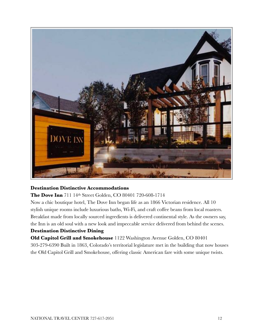

#### **Destination Distinctive Accommodations**

**The Dove Inn** 711 14th Street Golden, CO 80401 720-608-1714

Now a chic boutique hotel, The Dove Inn began life as an 1866 Victorian residence. All 10 stylish unique rooms include luxurious baths, Wi-Fi, and craft coffee beans from local roasters. Breakfast made from locally sourced ingredients is delivered continental style. As the owners say, the Inn is an old soul with a new look and impeccable service delivered from behind the scenes.

#### **Destination Distinctive Dining**

**Old Capitol Grill and Smokehouse** 1122 Washington Avenue Golden, CO 80401 303-279-6390 Built in 1863, Colorado's territorial legislature met in the building that now houses the Old Capitol Grill and Smokehouse, offering classic American fare with some unique twists.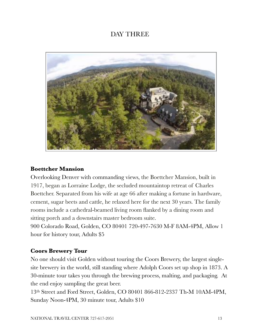# DAY THREE

![](_page_12_Picture_1.jpeg)

## **Boettcher Mansion**

Overlooking Denver with commanding views, the Boettcher Mansion, built in 1917, began as Lorraine Lodge, the secluded mountaintop retreat of Charles Boettcher. Separated from his wife at age 66 after making a fortune in hardware, cement, sugar beets and cattle, he relaxed here for the next 30 years. The family rooms include a cathedral-beamed living room flanked by a dining room and sitting porch and a downstairs master bedroom suite.

900 Colorado Road, Golden, CO 80401 720-497-7630 M-F 8AM-4PM, Allow 1 hour for history tour, Adults \$5

## **Coors Brewery Tour**

No one should visit Golden without touring the Coors Brewery, the largest singlesite brewery in the world, still standing where Adolph Coors set up shop in 1873. A 30-minute tour takes you through the brewing process, malting, and packaging. At the end enjoy sampling the great beer.

13th Street and Ford Street, Golden, CO 80401 866-812-2337 Th-M 10AM-4PM, Sunday Noon-4PM, 30 minute tour, Adults \$10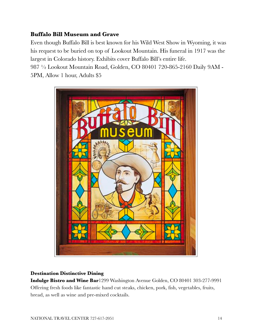# **Buffalo Bill Museum and Grave**

Even though Buffalo Bill is best known for his Wild West Show in Wyoming, it was his request to be buried on top of Lookout Mountain. His funeral in 1917 was the largest in Colorado history. Exhibits cover Buffalo Bill's entire life.

987 ½ Lookout Mountain Road, Golden, CO 80401 720-865-2160 Daily 9AM - 5PM, Allow 1 hour, Adults \$5

![](_page_13_Picture_3.jpeg)

#### **Destination Distinctive Dining**

**Indulge Bistro and Wine Bar**1299 Washington Avenue Golden, CO 80401 303-277-9991 Offering fresh foods like fantastic hand cut steaks, chicken, pork, fish, vegetables, fruits, bread, as well as wine and pre-mixed cocktails.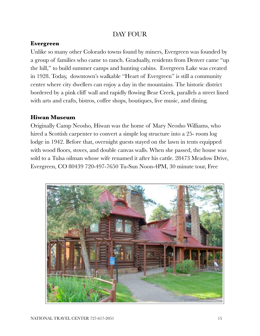# DAY FOUR

# **Evergreen**

Unlike so many other Colorado towns found by miners, Evergreen was founded by a group of families who came to ranch. Gradually, residents from Denver came "up the hill," to build summer camps and hunting cabins. Evergreen Lake was created in 1928. Today, downtown's walkable "Heart of Evergreen" is still a community center where city dwellers can enjoy a day in the mountains. The historic district bordered by a pink cliff wall and rapidly flowing Bear Creek, parallels a street lined with arts and crafts, bistros, coffee shops, boutiques, live music, and dining.

# **Hiwan Museum**

Originally Camp Neosho, Hiwan was the home of Mary Neosho Williams, who hired a Scottish carpenter to convert a simple log structure into a 25- room log lodge in 1942. Before that, overnight guests stayed on the lawn in tents equipped with wood floors, stoves, and double canvas walls. When she passed, the house was sold to a Tulsa oilman whose wife renamed it after his cattle. 28473 Meadow Drive, Evergreen, CO 80439 720-497-7650 Tu-Sun Noon-4PM, 30 minute tour, Free

![](_page_14_Picture_5.jpeg)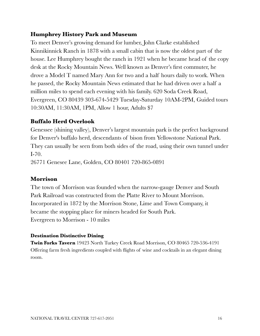# **Humphrey History Park and Museum**

To meet Denver's growing demand for lumber, John Clarke established Kinnikinnick Ranch in 1878 with a small cabin that is now the oldest part of the house. Lee Humphrey bought the ranch in 1921 when he became head of the copy desk at the Rocky Mountain News. Well known as Denver's first commuter, he drove a Model T named Mary Ann for two and a half hours daily to work. When he passed, the Rocky Mountain News estimated that he had driven over a half a million miles to spend each evening with his family. 620 Soda Creek Road, Evergreen, CO 80439 303-674-5429 Tuesday-Saturday 10AM-2PM, Guided tours 10:30AM, 11:30AM, 1PM, Allow 1 hour, Adults \$7

# **Buffalo Herd Overlook**

Genessee (shining valley), Denver's largest mountain park is the perfect background for Denver's buffalo herd, descendants of bison from Yellowstone National Park. They can usually be seen from both sides of the road, using their own tunnel under I-70. 26771 Genesee Lane, Golden, CO 80401 720-865-0891

# **Morrison**

The town of Morrison was founded when the narrow-gauge Denver and South Park Railroad was constructed from the Platte River to Mount Morrison. Incorporated in 1872 by the Morrison Stone, Lime and Town Company, it became the stopping place for miners headed for South Park. Evergreen to Morrison - 10 miles

## **Destination Distinctive Dining**

**Twin Forks Tavern** 19423 North Turkey Creek Road Morrison, CO 80465 720-536-4191 Offering farm fresh ingredients coupled with flights of wine and cocktails in an elegant dining room.